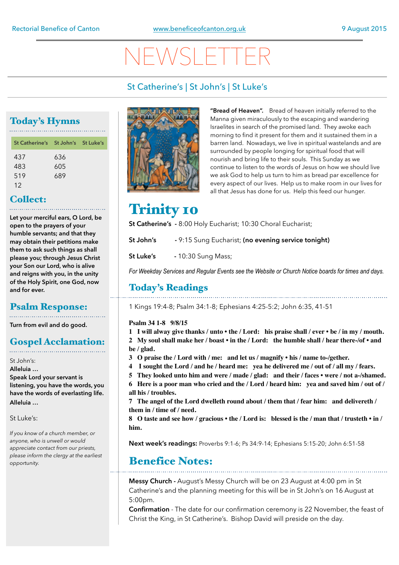# NEWSLETTER

### St Catherine's | St John's | St Luke's

### Today's Hymns

| St Catherine's St John's St Luke's |
|------------------------------------|
| 636<br>605                         |
| 689                                |
|                                    |

### Collect:

**Let your merciful ears, O Lord, be open to the prayers of your humble servants; and that they may obtain their petitions make them to ask such things as shall please you; through Jesus Christ your Son our Lord, who is alive and reigns with you, in the unity of the Holy Spirit, one God, now and for ever.**

### Psalm Response:

**Turn from evil and do good.** 

## Gospel Acclamation:

St John's:

**Alleluia … Speak Lord your servant is listening, you have the words, you have the words of everlasting life. Alleluia …** 

St Luke's:

*If you know of a church member, or anyone, who is unwell or would appreciate contact from our priests, please inform the clergy at the earliest opportunity.* 



**"Bread of Heaven".** Bread of heaven initially referred to the Manna given miraculously to the escaping and wandering Israelites in search of the promised land. They awoke each morning to find it present for them and it sustained them in a barren land. Nowadays, we live in spiritual wastelands and are surrounded by people longing for spiritual food that will nourish and bring life to their souls. This Sunday as we continue to listen to the words of Jesus on how we should live we ask God to help us turn to him as bread par excellence for every aspect of our lives. Help us to make room in our lives for all that Jesus has done for us. Help this feed our hunger.

### **Trinity 10**

**St Catherine's -** 8:00 Holy Eucharist; 10:30 Choral Eucharist;

**St John's -** 9:15 Sung Eucharist; **(no evening service tonight)** 

**St Luke's** - 10:30 Sung Mass;

*For Weekday Services and Regular Events see the Website or Church Notice boards for times and days.*

### Today's Readings

1 Kings 19:4-8; Psalm 34:1-8; Ephesians 4:25-5:2; John 6:35, 41-51

#### **Psalm 34 1-8 9/8/15**

**1 I will alway give thanks / unto • the / Lord: his praise shall / ever • be / in my / mouth.**

**2 My soul shall make her / boast • in the / Lord: the humble shall / hear there-/of • and be / glad.** 

- **3 O praise the / Lord with / me: and let us / magnify his / name to-/gether.**
- **4 I sought the Lord / and he / heard me: yea he delivered me / out of / all my / fears.**
- **5 They looked unto him and were / made / glad: and their / faces were / not a-/shamed.**

**6 Here is a poor man who cried and the / Lord / heard him: yea and saved him / out of / all his / troubles.**

**7 The angel of the Lord dwelleth round about / them that / fear him: and delivereth / them in / time of / need.**

**8 O taste and see how / gracious • the / Lord is: blessed is the / man that / trusteth • in / him.**

**Next week's readings:** Proverbs 9:1-6; Ps 34:9-14; Ephesians 5:15-20; John 6:51-58

### Benefice Notes:

**Messy Church -** August's Messy Church will be on 23 August at 4:00 pm in St Catherine's and the planning meeting for this will be in St John's on 16 August at 5:00pm.

**Confirmation** - The date for our confirmation ceremony is 22 November, the feast of Christ the King, in St Catherine's. Bishop David will preside on the day.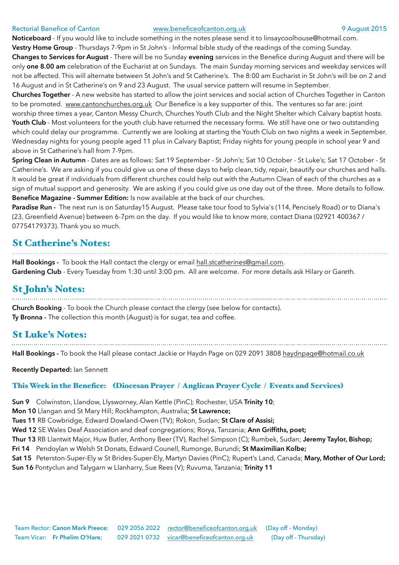#### Rectorial Benefice of Canton [www.beneficeofcanton.org.uk](http://www.beneficeofcanton.org.uk) 9 August 2015

**Noticeboard** - If you would like to include something in the notes please send it to [linsaycoolhouse@hotmail.com](mailto:linsaycoolhouse@hotmail.com).

**Vestry Home Group** - Thursdays 7-9pm in St John's - Informal bible study of the readings of the coming Sunday.

**Changes to Services for August** - There will be no Sunday **evening** services in the Benefice during August and there will be only **one 8.00 am** celebration of the Eucharist at on Sundays. The main Sunday morning services and weekday services will not be affected. This will alternate between St John's and St Catherine's. The 8:00 am Eucharist in St John's will be on 2 and 16 August and in St Catherine's on 9 and 23 August. The usual service pattern will resume in September.

**Churches Together** - A new website has started to allow the joint services and social action of Churches Together in Canton to be promoted. [www.cantonchurches.org.uk](http://www.cantonchurches.org.uk) Our Benefice is a key supporter of this. The ventures so far are: joint

worship three times a year, Canton Messy Church, Churches Youth Club and the Night Shelter which Calvary baptist hosts. **Youth Club** - Most volunteers for the youth club have returned the necessary forms. We still have one or two outstanding which could delay our programme. Currently we are looking at starting the Youth Club on two nights a week in September. Wednesday nights for young people aged 11 plus in Calvary Baptist; Friday nights for young people in school year 9 and above in St Catherine's hall from 7-9pm.

**Spring Clean in Autumn** - Dates are as follows: Sat 19 September - St John's; Sat 10 October - St Luke's; Sat 17 October - St Catherine's. We are asking if you could give us one of these days to help clean, tidy, repair, beautify our churches and halls. It would be great if individuals from different churches could help out with the Autumn Clean of each of the churches as a sign of mutual support and generosity. We are asking if you could give us one day out of the three. More details to follow. **Benefice Magazine - Summer Edition:** Is now available at the back of our churches.

**Paradise Run -** The next run is on Saturday15 August. Please take tour food to Sylvia's (114, Pencisely Road) or to Diana's (23, Greenfield Avenue) between 6-7pm on the day. If you would like to know more, contact Diana (02921 400367 / 07754179373). Thank you so much.

### St Catherine's Notes:

**Hall Bookings -** To book the Hall contact the clergy or email [hall.stcatherines@gmail.com](mailto:hall.stcatherines@gmail.com). **Gardening Club** - Every Tuesday from 1:30 until 3:00 pm. All are welcome. For more details ask Hilary or Gareth.

## St John's Notes:

**Church Booking** - To book the Church please contact the clergy (see below for contacts). **Ty Bronna -** The collection this month (August) is for sugar, tea and coffee.

## St Luke's Notes:

**Hall Bookings -** To book the Hall please contact Jackie or Haydn Page on 029 2091 3808 [haydnpage@hotmail.co.uk](mailto:haydnpage@hotmail.co.uk)

**Recently Departed:** Ian Sennett

#### This Week in the Benefice: (Diocesan Prayer / Anglican Prayer Cycle / Events and Services)

**Sun 9** Colwinston, Llandow, Llysworney, Alan Kettle (PinC); Rochester, USA **Trinity 10**;

**Mon 10** Llangan and St Mary Hill; Rockhampton, Australia; **St Lawrence;** 

**Tues 11** RB Cowbridge, Edward Dowland-Owen (TV); Rokon, Sudan; **St Clare of Assisi;** 

**Wed 12** SE Wales Deaf Association and deaf congregations; Rorya, Tanzania; **Ann Griffiths, poet;** 

**Thur 13** RB Llantwit Major, Huw Butler, Anthony Beer (TV), Rachel Simpson (C); Rumbek, Sudan; **Jeremy Taylor, Bishop;** 

**Fri 14** Pendoylan w Welsh St Donats, Edward Counell, Rumonge, Burundi; **St Maximilian Kolbe;** 

**Sat 15** Peterston-Super-Ely w St Brides-Super-Ely, Martyn Davies (PinC); Rupert's Land, Canada; **Mary, Mother of Our Lord;** 

**Sun 16** Pontyclun and Talygarn w Llanharry, Sue Rees (V); Ruvuma, Tanzania; **Trinity 11**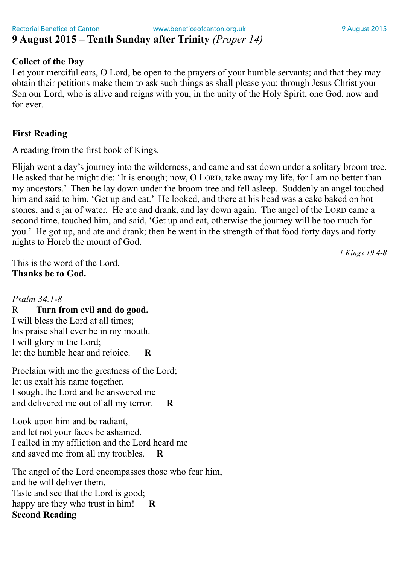### Rectorial Benefice of Canton **[www.beneficeofcanton.org.uk](http://www.beneficeofcanton.org.uk)** 9 August 2015 **9 August 2015 – Tenth Sunday after Trinity** *(Proper 14)*

### **Collect of the Day**

Let your merciful ears, O Lord, be open to the prayers of your humble servants; and that they may obtain their petitions make them to ask such things as shall please you; through Jesus Christ your Son our Lord, who is alive and reigns with you, in the unity of the Holy Spirit, one God, now and for ever.

### **First Reading**

A reading from the first book of Kings.

Elijah went a day's journey into the wilderness, and came and sat down under a solitary broom tree. He asked that he might die: 'It is enough; now, O LORD, take away my life, for I am no better than my ancestors.' Then he lay down under the broom tree and fell asleep. Suddenly an angel touched him and said to him, 'Get up and eat.' He looked, and there at his head was a cake baked on hot stones, and a jar of water. He ate and drank, and lay down again. The angel of the LORD came a second time, touched him, and said, 'Get up and eat, otherwise the journey will be too much for you.' He got up, and ate and drank; then he went in the strength of that food forty days and forty nights to Horeb the mount of God.

*1 Kings 19.4-8*

This is the word of the Lord. **Thanks be to God.**

### *Psalm 34.1-8*

### R **Turn from evil and do good.**

I will bless the Lord at all times; his praise shall ever be in my mouth. I will glory in the Lord; let the humble hear and rejoice. **R**

Proclaim with me the greatness of the Lord; let us exalt his name together. I sought the Lord and he answered me and delivered me out of all my terror. **R**

Look upon him and be radiant, and let not your faces be ashamed. I called in my affliction and the Lord heard me and saved me from all my troubles. **R**

The angel of the Lord encompasses those who fear him, and he will deliver them. Taste and see that the Lord is good; happy are they who trust in him! **R Second Reading**